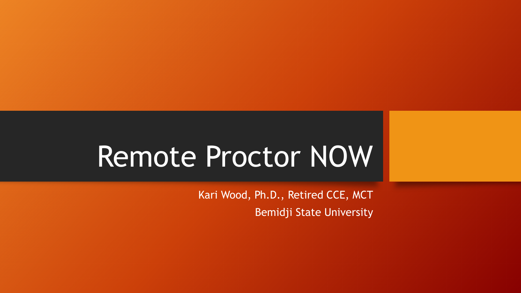# Remote Proctor NOW

Kari Wood, Ph.D., Retired CCE, MCT Bemidji State University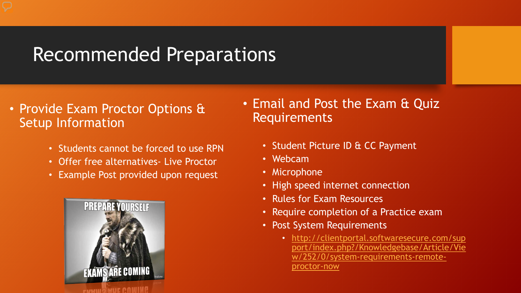### Recommended Preparations

- Provide Exam Proctor Options & Setup Information
	- Students cannot be forced to use RPN
	- Offer free alternatives- Live Proctor
	- Example Post provided upon request



- Email and Post the Exam & Quiz Requirements
	- Student Picture ID & CC Payment
	- Webcam
	- Microphone
	- High speed internet connection
	- Rules for Exam Resources
	- Require completion of a Practice exam
	- Post System Requirements
		- http://clientportal.softwaresecure.com/sup [port/index.php?/Knowledgebase/Article/Vie](http://clientportal.softwaresecure.com/support/index.php?/Knowledgebase/Article/View/252/0/system-requirements-remote-proctor-now) w/252/0/system-requirements-remoteproctor-now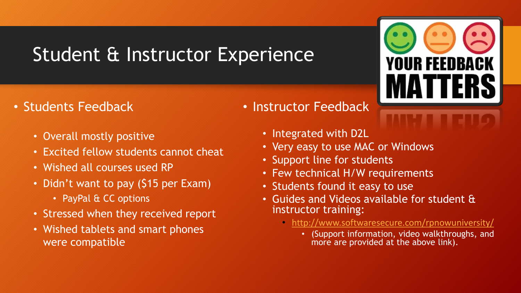### Student & Instructor Experience

- Students Feedback
	- Overall mostly positive
	- Excited fellow students cannot cheat
	- Wished all courses used RP
	- Didn't want to pay (\$15 per Exam)
		- PayPal & CC options
	- Stressed when they received report
	- Wished tablets and smart phones were compatible
- Instructor Feedback
	- Integrated with D2L
	- Very easy to use MAC or Windows
	- Support line for students
	- Few technical H/W requirements
	- Students found it easy to use
	- Guides and Videos available for student & instructor training:
		- <http://www.softwaresecure.com/rpnowuniversity/>
			- (Support information, video walkthroughs, and more are provided at the above link).

**YOUR FEEDBACK**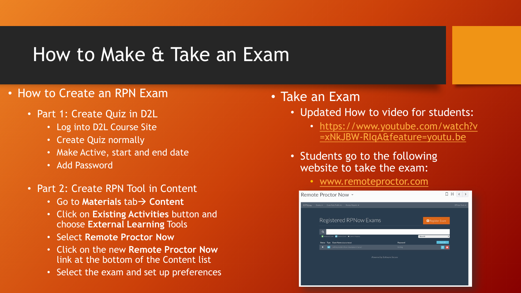### How to Make & Take an Exam

#### • How to Create an RPN Exam

- Part 1: Create Quiz in D2L
	- Log into D2L Course Site
	- Create Quiz normally
	- Make Active, start and end date
	- Add Password
- Part 2: Create RPN Tool in Content
	- **Go to Materials tab → Content**
	- Click on **Existing Activities** button and choose **External Learning** Tools
	- Select **Remote Proctor Now**
	- Click on the new **Remote Proctor Now** link at the bottom of the Content list
	- Select the exam and set up preferences

#### • Take an Exam

- Updated How to video for students:
	- [https://www.youtube.com/watch?v](https://www.youtube.com/watch?v=xNkJBW-RIqA&feature=youtu.be) =xNkJBW-RIqA&feature=youtu.be
- Students go to the following website to take the exam:
	- [www.remoteproctor.com](http://www.remoteproctor.com/)

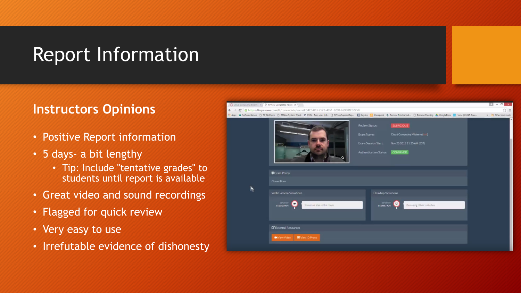### Report Information

#### **Instructors Opinions**

- Positive Report information
- 5 days- a bit lengthy
	- Tip: Include "tentative grades" to students until report is available
- Great video and sound recordings
- Flagged for quick review
- Very easy to use
- Irrefutable evidence of dishonesty

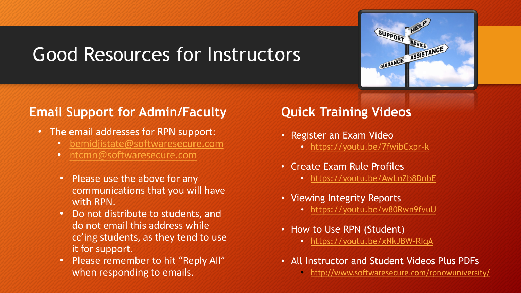## Good Resources for Instructors



#### **Email Support for Admin/Faculty**

- The email addresses for RPN support:
	- [bemidjistate@softwaresecure.com](mailto:bemidjistate@softwaresecure.com)
	- [ntcmn@softwaresecure.com](mailto:ntcmn@softwaresecure.com)
	- Please use the above for any communications that you will have with RPN.
	- Do not distribute to students, and do not email this address while cc'ing students, as they tend to use it for support.
	- Please remember to hit "Reply All" when responding to emails.

#### **Quick Training Videos**

- Register an Exam Video
	- <https://youtu.be/7fwibCxpr-k>
- Create Exam Rule Profiles
	- <https://youtu.be/AwLnZb8DnbE>
- Viewing Integrity Reports
	- <https://youtu.be/w80Rwn9fvuU>
- How to Use RPN (Student)
	- <https://youtu.be/xNkJBW-RIqA>
- All Instructor and Student Videos Plus PDFs
	- <http://www.softwaresecure.com/rpnowuniversity/>